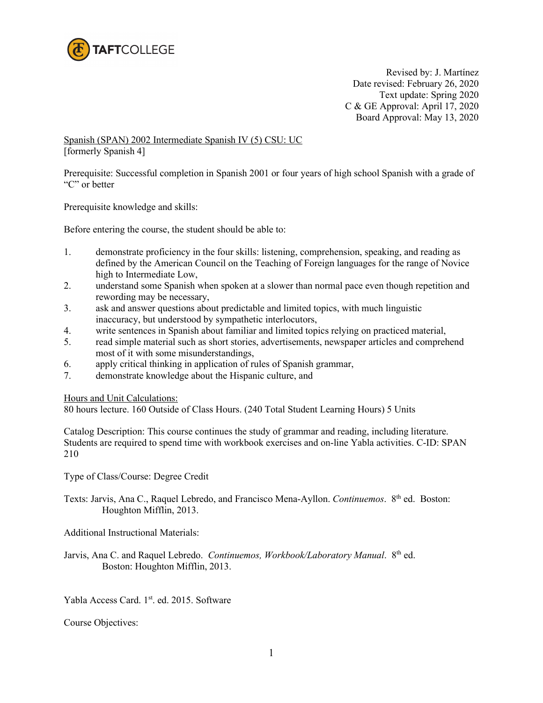

Revised by: J. Martínez Date revised: February 26, 2020 Text update: Spring 2020 C & GE Approval: April 17, 2020 Board Approval: May 13, 2020

Spanish (SPAN) 2002 Intermediate Spanish IV (5) CSU: UC [formerly Spanish 4]

Prerequisite: Successful completion in Spanish 2001 or four years of high school Spanish with a grade of "C" or better

Prerequisite knowledge and skills:

Before entering the course, the student should be able to:

- 1. demonstrate proficiency in the four skills: listening, comprehension, speaking, and reading as defined by the American Council on the Teaching of Foreign languages for the range of Novice high to Intermediate Low,
- 2. understand some Spanish when spoken at a slower than normal pace even though repetition and rewording may be necessary,
- 3. ask and answer questions about predictable and limited topics, with much linguistic inaccuracy, but understood by sympathetic interlocutors,
- 4. write sentences in Spanish about familiar and limited topics relying on practiced material,
- 5. read simple material such as short stories, advertisements, newspaper articles and comprehend most of it with some misunderstandings,
- 6. apply critical thinking in application of rules of Spanish grammar,
- 7. demonstrate knowledge about the Hispanic culture, and

Hours and Unit Calculations:

80 hours lecture. 160 Outside of Class Hours. (240 Total Student Learning Hours) 5 Units

Catalog Description: This course continues the study of grammar and reading, including literature. Students are required to spend time with workbook exercises and on-line Yabla activities. C-ID: SPAN 210

Type of Class/Course: Degree Credit

Texts: Jarvis, Ana C., Raquel Lebredo, and Francisco Mena-Ayllon. *Continuemos*. 8<sup>th</sup> ed. Boston: Houghton Mifflin, 2013.

Additional Instructional Materials:

Jarvis, Ana C. and Raquel Lebredo. *Continuemos, Workbook/Laboratory Manual*. 8<sup>th</sup> ed. Boston: Houghton Mifflin, 2013.

Yabla Access Card. 1<sup>st</sup>. ed. 2015. Software

Course Objectives: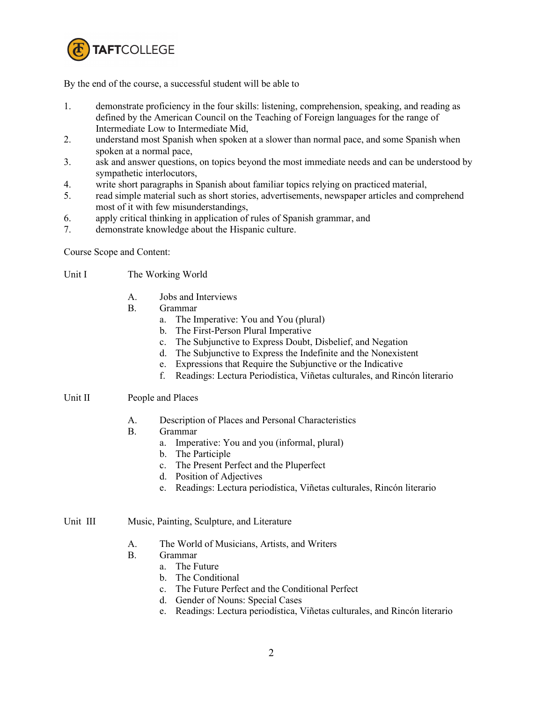

By the end of the course, a successful student will be able to

- 1. demonstrate proficiency in the four skills: listening, comprehension, speaking, and reading as defined by the American Council on the Teaching of Foreign languages for the range of Intermediate Low to Intermediate Mid,
- 2. understand most Spanish when spoken at a slower than normal pace, and some Spanish when spoken at a normal pace,
- 3. ask and answer questions, on topics beyond the most immediate needs and can be understood by sympathetic interlocutors,
- 4. write short paragraphs in Spanish about familiar topics relying on practiced material,
- 5. read simple material such as short stories, advertisements, newspaper articles and comprehend most of it with few misunderstandings,
- 6. apply critical thinking in application of rules of Spanish grammar, and
- 7. demonstrate knowledge about the Hispanic culture.

Course Scope and Content:

- Unit I The Working World
	- A. Jobs and Interviews
	- B. Grammar
		- a. The Imperative: You and You (plural)
		- b. The First-Person Plural Imperative
		- c. The Subjunctive to Express Doubt, Disbelief, and Negation
		- d. The Subjunctive to Express the Indefinite and the Nonexistent
		- e. Expressions that Require the Subjunctive or the Indicative
		- f. Readings: Lectura Periodística, Viñetas culturales, and Rincón literario

## Unit II People and Places

- A. Description of Places and Personal Characteristics
- B. Grammar
	- a. Imperative: You and you (informal, plural)
	- b. The Participle
	- c. The Present Perfect and the Pluperfect
	- d. Position of Adjectives
	- e. Readings: Lectura periodística, Viñetas culturales, Rincón literario

## Unit III Music, Painting, Sculpture, and Literature

- A. The World of Musicians, Artists, and Writers
- B. Grammar
	- a. The Future
	- b. The Conditional
	- c. The Future Perfect and the Conditional Perfect
	- d. Gender of Nouns: Special Cases
	- e. Readings: Lectura periodística, Viñetas culturales, and Rincón literario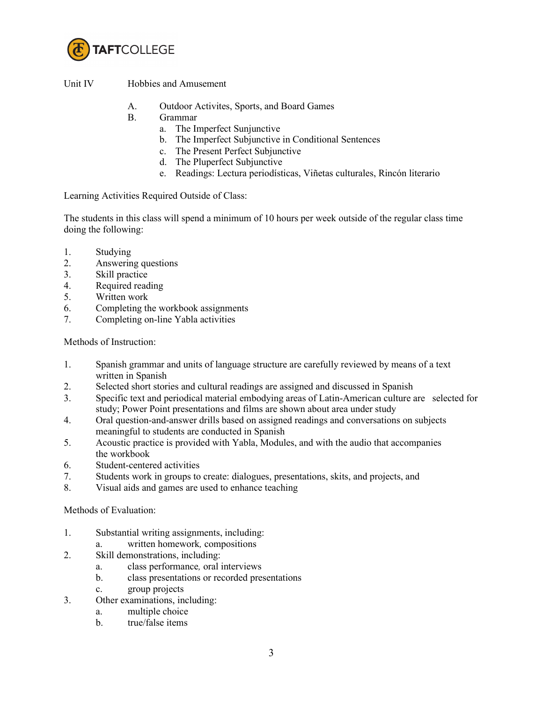

Unit IV Hobbies and Amusement

- A. Outdoor Activites, Sports, and Board Games
- B. Grammar
	- a. The Imperfect Sunjunctive
	- b. The Imperfect Subjunctive in Conditional Sentences
	- c. The Present Perfect Subjunctive
	- d. The Pluperfect Subjunctive
	- e. Readings: Lectura periodísticas, Viñetas culturales, Rincón literario

Learning Activities Required Outside of Class:

The students in this class will spend a minimum of 10 hours per week outside of the regular class time doing the following:

- 1. Studying
- 2. Answering questions
- 3. Skill practice
- 4. Required reading
- 5. Written work
- 6. Completing the workbook assignments
- 7. Completing on-line Yabla activities

Methods of Instruction:

- 1. Spanish grammar and units of language structure are carefully reviewed by means of a text written in Spanish
- 2. Selected short stories and cultural readings are assigned and discussed in Spanish
- 3. Specific text and periodical material embodying areas of Latin-American culture are selected for study; Power Point presentations and films are shown about area under study
- 4. Oral question-and-answer drills based on assigned readings and conversations on subjects meaningful to students are conducted in Spanish
- 5. Acoustic practice is provided with Yabla, Modules, and with the audio that accompanies the workbook
- 6. Student-centered activities
- 7. Students work in groups to create: dialogues, presentations, skits, and projects, and
- 8. Visual aids and games are used to enhance teaching

Methods of Evaluation:

- 1. Substantial writing assignments, including:
	- a. written homework*,* compositions
- 2. Skill demonstrations, including:
	- a. class performance*,* oral interviews
	- b. class presentations or recorded presentations
	- c. group projects
- 3. Other examinations, including:
	- a. multiple choice
	- b. true/false items